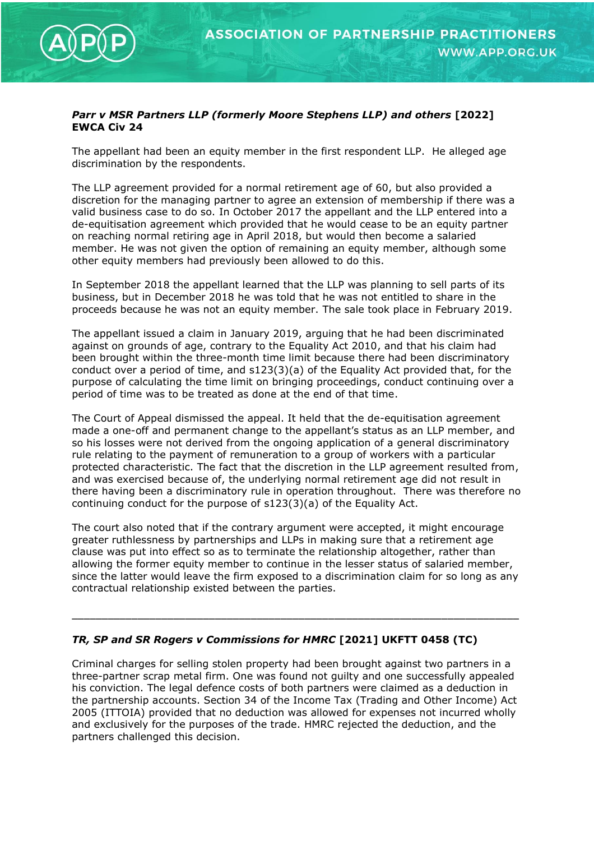

## *Parr v MSR Partners LLP (formerly Moore Stephens LLP) and others* **[2022] EWCA Civ 24**

The appellant had been an equity member in the first respondent LLP. He alleged age discrimination by the respondents.

The LLP agreement provided for a normal retirement age of 60, but also provided a discretion for the managing partner to agree an extension of membership if there was a valid business case to do so. In October 2017 the appellant and the LLP entered into a de-equitisation agreement which provided that he would cease to be an equity partner on reaching normal retiring age in April 2018, but would then become a salaried member. He was not given the option of remaining an equity member, although some other equity members had previously been allowed to do this.

In September 2018 the appellant learned that the LLP was planning to sell parts of its business, but in December 2018 he was told that he was not entitled to share in the proceeds because he was not an equity member. The sale took place in February 2019.

The appellant issued a claim in January 2019, arguing that he had been discriminated against on grounds of age, contrary to the Equality Act 2010, and that his claim had been brought within the three-month time limit because there had been discriminatory conduct over a period of time, and s123(3)(a) of the Equality Act provided that, for the purpose of calculating the time limit on bringing proceedings, conduct continuing over a period of time was to be treated as done at the end of that time.

The Court of Appeal dismissed the appeal. It held that the de-equitisation agreement made a one-off and permanent change to the appellant's status as an LLP member, and so his losses were not derived from the ongoing application of a general discriminatory rule relating to the payment of remuneration to a group of workers with a particular protected characteristic. The fact that the discretion in the LLP agreement resulted from, and was exercised because of, the underlying normal retirement age did not result in there having been a discriminatory rule in operation throughout. There was therefore no continuing conduct for the purpose of s123(3)(a) of the Equality Act.

The court also noted that if the contrary argument were accepted, it might encourage greater ruthlessness by partnerships and LLPs in making sure that a retirement age clause was put into effect so as to terminate the relationship altogether, rather than allowing the former equity member to continue in the lesser status of salaried member, since the latter would leave the firm exposed to a discrimination claim for so long as any contractual relationship existed between the parties.

\_\_\_\_\_\_\_\_\_\_\_\_\_\_\_\_\_\_\_\_\_\_\_\_\_\_\_\_\_\_\_\_\_\_\_\_\_\_\_\_\_\_\_\_\_\_\_\_\_\_\_\_\_\_\_\_\_\_\_\_\_\_\_\_\_\_\_\_\_\_\_\_\_\_\_

## *TR, SP and SR Rogers v Commissions for HMRC* **[2021] UKFTT 0458 (TC)**

Criminal charges for selling stolen property had been brought against two partners in a three-partner scrap metal firm. One was found not guilty and one successfully appealed his conviction. The legal defence costs of both partners were claimed as a deduction in the partnership accounts. Section 34 of the Income Tax (Trading and Other Income) Act 2005 (ITTOIA) provided that no deduction was allowed for expenses not incurred wholly and exclusively for the purposes of the trade. HMRC rejected the deduction, and the partners challenged this decision.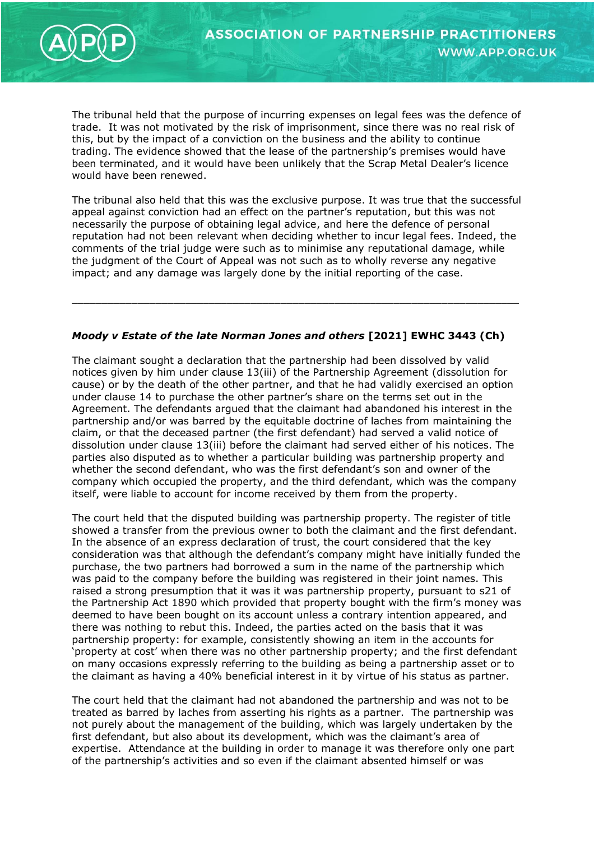

The tribunal held that the purpose of incurring expenses on legal fees was the defence of trade. It was not motivated by the risk of imprisonment, since there was no real risk of this, but by the impact of a conviction on the business and the ability to continue trading. The evidence showed that the lease of the partnership's premises would have been terminated, and it would have been unlikely that the Scrap Metal Dealer's licence would have been renewed.

The tribunal also held that this was the exclusive purpose. It was true that the successful appeal against conviction had an effect on the partner's reputation, but this was not necessarily the purpose of obtaining legal advice, and here the defence of personal reputation had not been relevant when deciding whether to incur legal fees. Indeed, the comments of the trial judge were such as to minimise any reputational damage, while the judgment of the Court of Appeal was not such as to wholly reverse any negative impact; and any damage was largely done by the initial reporting of the case.

## *Moody v Estate of the late Norman Jones and others* **[2021] EWHC 3443 (Ch)**

\_\_\_\_\_\_\_\_\_\_\_\_\_\_\_\_\_\_\_\_\_\_\_\_\_\_\_\_\_\_\_\_\_\_\_\_\_\_\_\_\_\_\_\_\_\_\_\_\_\_\_\_\_\_\_\_\_\_\_\_\_\_\_\_\_\_\_\_\_\_\_\_\_\_\_

The claimant sought a declaration that the partnership had been dissolved by valid notices given by him under clause 13(iii) of the Partnership Agreement (dissolution for cause) or by the death of the other partner, and that he had validly exercised an option under clause 14 to purchase the other partner's share on the terms set out in the Agreement. The defendants argued that the claimant had abandoned his interest in the partnership and/or was barred by the equitable doctrine of laches from maintaining the claim, or that the deceased partner (the first defendant) had served a valid notice of dissolution under clause 13(iii) before the claimant had served either of his notices. The parties also disputed as to whether a particular building was partnership property and whether the second defendant, who was the first defendant's son and owner of the company which occupied the property, and the third defendant, which was the company itself, were liable to account for income received by them from the property.

The court held that the disputed building was partnership property. The register of title showed a transfer from the previous owner to both the claimant and the first defendant. In the absence of an express declaration of trust, the court considered that the key consideration was that although the defendant's company might have initially funded the purchase, the two partners had borrowed a sum in the name of the partnership which was paid to the company before the building was registered in their joint names. This raised a strong presumption that it was it was partnership property, pursuant to s21 of the Partnership Act 1890 which provided that property bought with the firm's money was deemed to have been bought on its account unless a contrary intention appeared, and there was nothing to rebut this. Indeed, the parties acted on the basis that it was partnership property: for example, consistently showing an item in the accounts for 'property at cost' when there was no other partnership property; and the first defendant on many occasions expressly referring to the building as being a partnership asset or to the claimant as having a 40% beneficial interest in it by virtue of his status as partner.

The court held that the claimant had not abandoned the partnership and was not to be treated as barred by laches from asserting his rights as a partner. The partnership was not purely about the management of the building, which was largely undertaken by the first defendant, but also about its development, which was the claimant's area of expertise. Attendance at the building in order to manage it was therefore only one part of the partnership's activities and so even if the claimant absented himself or was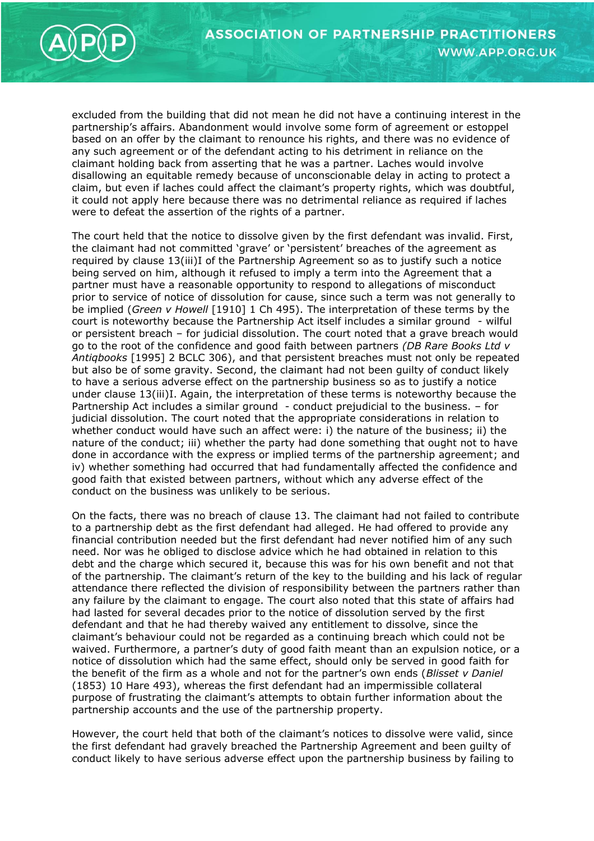

excluded from the building that did not mean he did not have a continuing interest in the partnership's affairs. Abandonment would involve some form of agreement or estoppel based on an offer by the claimant to renounce his rights, and there was no evidence of any such agreement or of the defendant acting to his detriment in reliance on the claimant holding back from asserting that he was a partner. Laches would involve disallowing an equitable remedy because of unconscionable delay in acting to protect a claim, but even if laches could affect the claimant's property rights, which was doubtful, it could not apply here because there was no detrimental reliance as required if laches were to defeat the assertion of the rights of a partner.

The court held that the notice to dissolve given by the first defendant was invalid. First, the claimant had not committed 'grave' or 'persistent' breaches of the agreement as required by clause 13(iii)I of the Partnership Agreement so as to justify such a notice being served on him, although it refused to imply a term into the Agreement that a partner must have a reasonable opportunity to respond to allegations of misconduct prior to service of notice of dissolution for cause, since such a term was not generally to be implied (*Green v Howell* [1910] 1 Ch 495). The interpretation of these terms by the court is noteworthy because the Partnership Act itself includes a similar ground - wilful or persistent breach – for judicial dissolution. The court noted that a grave breach would go to the root of the confidence and good faith between partners *(DB Rare Books Ltd v Antiqbooks* [1995] 2 BCLC 306), and that persistent breaches must not only be repeated but also be of some gravity. Second, the claimant had not been guilty of conduct likely to have a serious adverse effect on the partnership business so as to justify a notice under clause 13(iii)I. Again, the interpretation of these terms is noteworthy because the Partnership Act includes a similar ground - conduct prejudicial to the business. – for judicial dissolution. The court noted that the appropriate considerations in relation to whether conduct would have such an affect were: i) the nature of the business; ii) the nature of the conduct; iii) whether the party had done something that ought not to have done in accordance with the express or implied terms of the partnership agreement; and iv) whether something had occurred that had fundamentally affected the confidence and good faith that existed between partners, without which any adverse effect of the conduct on the business was unlikely to be serious.

On the facts, there was no breach of clause 13. The claimant had not failed to contribute to a partnership debt as the first defendant had alleged. He had offered to provide any financial contribution needed but the first defendant had never notified him of any such need. Nor was he obliged to disclose advice which he had obtained in relation to this debt and the charge which secured it, because this was for his own benefit and not that of the partnership. The claimant's return of the key to the building and his lack of regular attendance there reflected the division of responsibility between the partners rather than any failure by the claimant to engage. The court also noted that this state of affairs had had lasted for several decades prior to the notice of dissolution served by the first defendant and that he had thereby waived any entitlement to dissolve, since the claimant's behaviour could not be regarded as a continuing breach which could not be waived. Furthermore, a partner's duty of good faith meant than an expulsion notice, or a notice of dissolution which had the same effect, should only be served in good faith for the benefit of the firm as a whole and not for the partner's own ends (*Blisset v Daniel*  (1853) 10 Hare 493), whereas the first defendant had an impermissible collateral purpose of frustrating the claimant's attempts to obtain further information about the partnership accounts and the use of the partnership property.

However, the court held that both of the claimant's notices to dissolve were valid, since the first defendant had gravely breached the Partnership Agreement and been guilty of conduct likely to have serious adverse effect upon the partnership business by failing to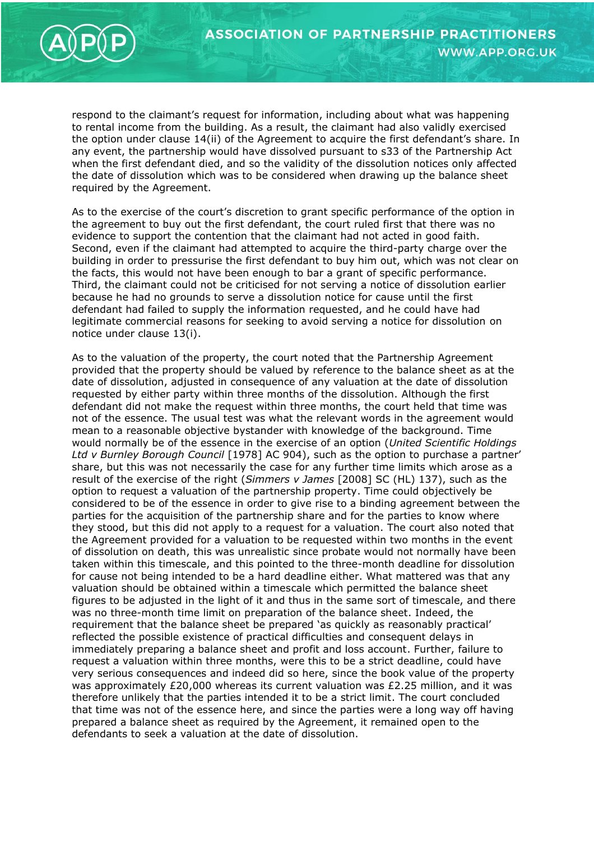

respond to the claimant's request for information, including about what was happening to rental income from the building. As a result, the claimant had also validly exercised the option under clause 14(ii) of the Agreement to acquire the first defendant's share. In any event, the partnership would have dissolved pursuant to s33 of the Partnership Act when the first defendant died, and so the validity of the dissolution notices only affected the date of dissolution which was to be considered when drawing up the balance sheet required by the Agreement.

As to the exercise of the court's discretion to grant specific performance of the option in the agreement to buy out the first defendant, the court ruled first that there was no evidence to support the contention that the claimant had not acted in good faith. Second, even if the claimant had attempted to acquire the third-party charge over the building in order to pressurise the first defendant to buy him out, which was not clear on the facts, this would not have been enough to bar a grant of specific performance. Third, the claimant could not be criticised for not serving a notice of dissolution earlier because he had no grounds to serve a dissolution notice for cause until the first defendant had failed to supply the information requested, and he could have had legitimate commercial reasons for seeking to avoid serving a notice for dissolution on notice under clause 13(i).

As to the valuation of the property, the court noted that the Partnership Agreement provided that the property should be valued by reference to the balance sheet as at the date of dissolution, adjusted in consequence of any valuation at the date of dissolution requested by either party within three months of the dissolution. Although the first defendant did not make the request within three months, the court held that time was not of the essence. The usual test was what the relevant words in the agreement would mean to a reasonable objective bystander with knowledge of the background. Time would normally be of the essence in the exercise of an option (*United Scientific Holdings Ltd v Burnley Borough Council* [1978] AC 904), such as the option to purchase a partner' share, but this was not necessarily the case for any further time limits which arose as a result of the exercise of the right (*Simmers v James* [2008] SC (HL) 137), such as the option to request a valuation of the partnership property. Time could objectively be considered to be of the essence in order to give rise to a binding agreement between the parties for the acquisition of the partnership share and for the parties to know where they stood, but this did not apply to a request for a valuation. The court also noted that the Agreement provided for a valuation to be requested within two months in the event of dissolution on death, this was unrealistic since probate would not normally have been taken within this timescale, and this pointed to the three-month deadline for dissolution for cause not being intended to be a hard deadline either. What mattered was that any valuation should be obtained within a timescale which permitted the balance sheet figures to be adjusted in the light of it and thus in the same sort of timescale, and there was no three-month time limit on preparation of the balance sheet. Indeed, the requirement that the balance sheet be prepared 'as quickly as reasonably practical' reflected the possible existence of practical difficulties and consequent delays in immediately preparing a balance sheet and profit and loss account. Further, failure to request a valuation within three months, were this to be a strict deadline, could have very serious consequences and indeed did so here, since the book value of the property was approximately £20,000 whereas its current valuation was £2.25 million, and it was therefore unlikely that the parties intended it to be a strict limit. The court concluded that time was not of the essence here, and since the parties were a long way off having prepared a balance sheet as required by the Agreement, it remained open to the defendants to seek a valuation at the date of dissolution.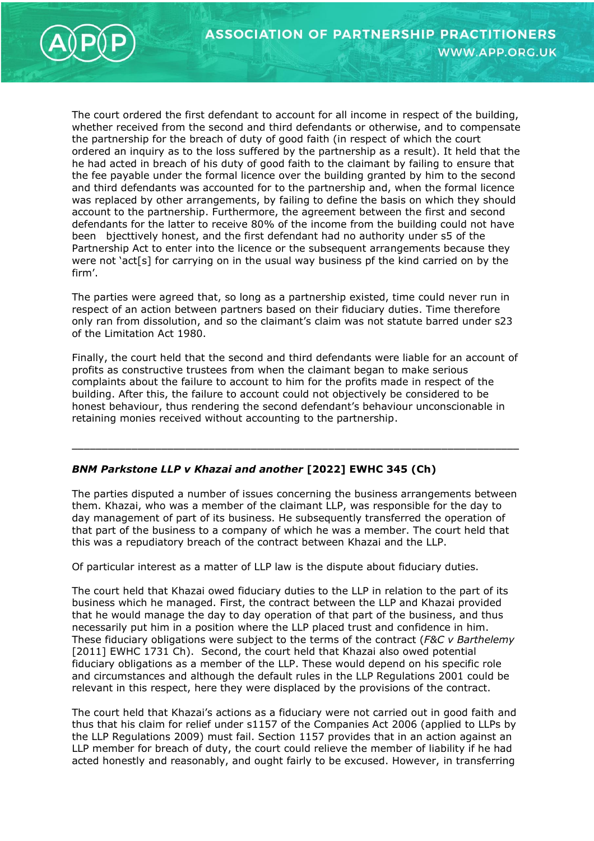



The court ordered the first defendant to account for all income in respect of the building, whether received from the second and third defendants or otherwise, and to compensate the partnership for the breach of duty of good faith (in respect of which the court ordered an inquiry as to the loss suffered by the partnership as a result). It held that the he had acted in breach of his duty of good faith to the claimant by failing to ensure that the fee payable under the formal licence over the building granted by him to the second and third defendants was accounted for to the partnership and, when the formal licence was replaced by other arrangements, by failing to define the basis on which they should account to the partnership. Furthermore, the agreement between the first and second defendants for the latter to receive 80% of the income from the building could not have been bjecttively honest, and the first defendant had no authority under s5 of the Partnership Act to enter into the licence or the subsequent arrangements because they were not 'act[s] for carrying on in the usual way business pf the kind carried on by the firm'.

The parties were agreed that, so long as a partnership existed, time could never run in respect of an action between partners based on their fiduciary duties. Time therefore only ran from dissolution, and so the claimant's claim was not statute barred under s23 of the Limitation Act 1980.

Finally, the court held that the second and third defendants were liable for an account of profits as constructive trustees from when the claimant began to make serious complaints about the failure to account to him for the profits made in respect of the building. After this, the failure to account could not objectively be considered to be honest behaviour, thus rendering the second defendant's behaviour unconscionable in retaining monies received without accounting to the partnership.

\_\_\_\_\_\_\_\_\_\_\_\_\_\_\_\_\_\_\_\_\_\_\_\_\_\_\_\_\_\_\_\_\_\_\_\_\_\_\_\_\_\_\_\_\_\_\_\_\_\_\_\_\_\_\_\_\_\_\_\_\_\_\_\_\_\_\_\_\_\_\_\_\_\_\_

## *BNM Parkstone LLP v Khazai and another* **[2022] EWHC 345 (Ch)**

The parties disputed a number of issues concerning the business arrangements between them. Khazai, who was a member of the claimant LLP, was responsible for the day to day management of part of its business. He subsequently transferred the operation of that part of the business to a company of which he was a member. The court held that this was a repudiatory breach of the contract between Khazai and the LLP.

Of particular interest as a matter of LLP law is the dispute about fiduciary duties.

The court held that Khazai owed fiduciary duties to the LLP in relation to the part of its business which he managed. First, the contract between the LLP and Khazai provided that he would manage the day to day operation of that part of the business, and thus necessarily put him in a position where the LLP placed trust and confidence in him. These fiduciary obligations were subject to the terms of the contract (*F&C v Barthelemy* [2011] EWHC 1731 Ch). Second, the court held that Khazai also owed potential fiduciary obligations as a member of the LLP. These would depend on his specific role and circumstances and although the default rules in the LLP Regulations 2001 could be relevant in this respect, here they were displaced by the provisions of the contract.

The court held that Khazai's actions as a fiduciary were not carried out in good faith and thus that his claim for relief under s1157 of the Companies Act 2006 (applied to LLPs by the LLP Regulations 2009) must fail. Section 1157 provides that in an action against an LLP member for breach of duty, the court could relieve the member of liability if he had acted honestly and reasonably, and ought fairly to be excused. However, in transferring